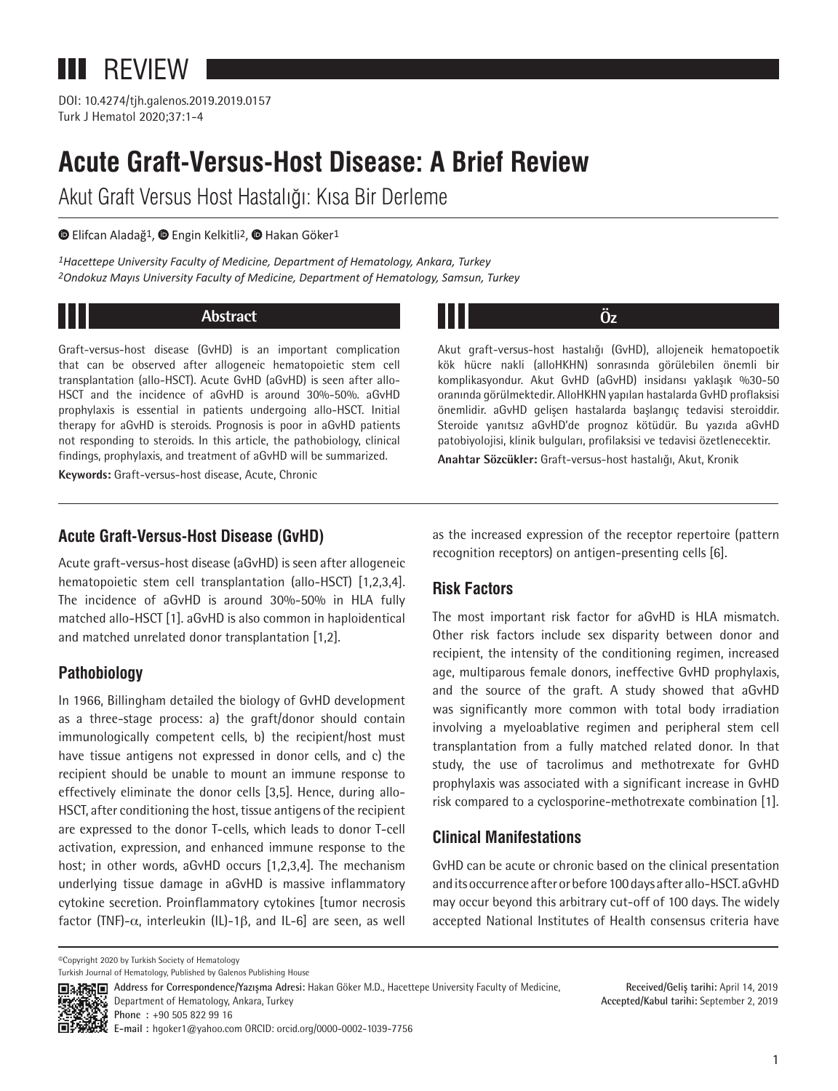# **III** REVIEW

DOI: 10.4274/tjh.galenos.2019.2019.0157 Turk J Hematol 2020;37:1-4

## **Acute Graft-Versus-Host Disease: A Brief Review**

Akut Graft Versus Host Hastalığı: Kısa Bir Derleme

 $\bullet$ Elifcan Aladağ<sup>1</sup>,  $\bullet$  Engin Kelkitli<sup>2</sup>,  $\bullet$  Hakan Göker<sup>1</sup>

*1Hacettepe University Faculty of Medicine, Department of Hematology, Ankara, Turkey 2Ondokuz Mayıs University Faculty of Medicine, Department of Hematology, Samsun, Turkey*

#### **Abstract**

Graft‐versus‐host disease (GvHD) is an important complication that can be observed after allogeneic hematopoietic stem cell transplantation (allo-HSCT). Acute GvHD (aGvHD) is seen after allo-HSCT and the incidence of aGvHD is around 30%-50%. aGvHD prophylaxis is essential in patients undergoing allo-HSCT. Initial therapy for aGvHD is steroids. Prognosis is poor in aGvHD patients not responding to steroids. In this article, the pathobiology, clinical findings, prophylaxis, and treatment of aGvHD will be summarized.

**Keywords:** Graft-versus-host disease, Acute, Chronic

## **Öz**

Akut graft‐versus‐host hastalığı (GvHD), allojeneik hematopoetik kök hücre nakli (alloHKHN) sonrasında görülebilen önemli bir komplikasyondur. Akut GvHD (aGvHD) insidansı yaklaşık %30-50 oranında görülmektedir. AlloHKHN yapılan hastalarda GvHD proflaksisi önemlidir. aGvHD gelişen hastalarda başlangıç tedavisi steroiddir. Steroide yanıtsız aGvHD'de prognoz kötüdür. Bu yazıda aGvHD patobiyolojisi, klinik bulguları, profilaksisi ve tedavisi özetlenecektir.

**Anahtar Sözcükler:** Graft‐versus‐host hastalığı, Akut, Kronik

### **Acute Graft-Versus-Host Disease (GvHD)**

Acute graft‐versus‐host disease (aGvHD) is seen after allogeneic hematopoietic stem cell transplantation (allo-HSCT) [1,2,3,4]. The incidence of aGvHD is around 30%-50% in HLA fully matched allo-HSCT [1]. aGvHD is also common in haploidentical and matched unrelated donor transplantation [1,2].

## **Pathobiology**

In 1966, Billingham detailed the biology of GvHD development as a three-stage process: a) the graft/donor should contain immunologically competent cells, b) the recipient/host must have tissue antigens not expressed in donor cells, and c) the recipient should be unable to mount an immune response to effectively eliminate the donor cells [3,5]. Hence, during allo-HSCT, after conditioning the host, tissue antigens of the recipient are expressed to the donor T-cells, which leads to donor T-cell activation, expression, and enhanced immune response to the host; in other words, aGvHD occurs [1,2,3,4]. The mechanism underlying tissue damage in aGvHD is massive inflammatory cytokine secretion. Proinflammatory cytokines [tumor necrosis factor (TNF)- $\alpha$ , interleukin (IL)-1 $\beta$ , and IL-6] are seen, as well

as the increased expression of the receptor repertoire (pattern recognition receptors) on antigen-presenting cells [6].

## **Risk Factors**

The most important risk factor for aGvHD is HLA mismatch. Other risk factors include sex disparity between donor and recipient, the intensity of the conditioning regimen, increased age, multiparous female donors, ineffective GvHD prophylaxis, and the source of the graft. A study showed that aGvHD was significantly more common with total body irradiation involving a myeloablative regimen and peripheral stem cell transplantation from a fully matched related donor. In that study, the use of tacrolimus and methotrexate for GvHD prophylaxis was associated with a significant increase in GvHD risk compared to a cyclosporine-methotrexate combination [1].

### **Clinical Manifestations**

GvHD can be acute or chronic based on the clinical presentation and its occurrence after or before 100 days after allo-HSCT. aGvHD may occur beyond this arbitrary cut-off of 100 days. The widely accepted National Institutes of Health consensus criteria have

©Copyright 2020 by Turkish Society of Hematology

Department of Hematology, Ankara, Turkey



Turkish Journal of Hematology, Published by Galenos Publishing House

**Address for Correspondence/Yazışma Adresi:** Hakan Göker M.D., Hacettepe University Faculty of Medicine,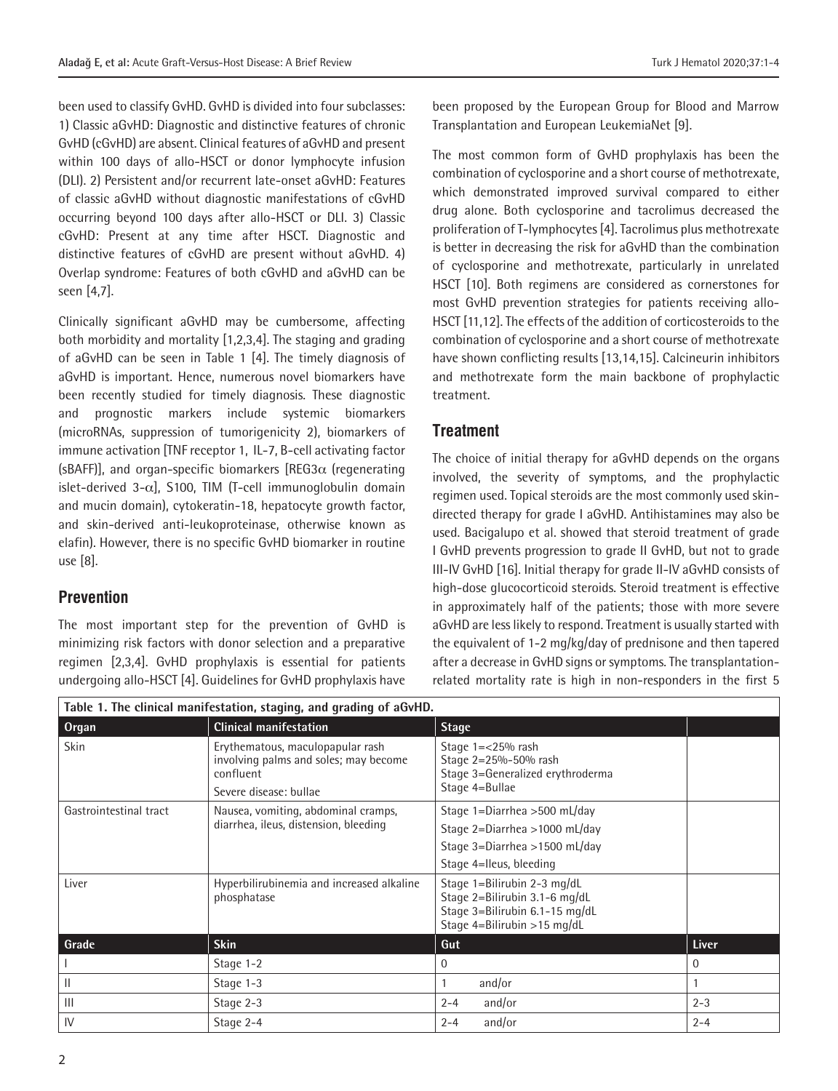been used to classify GvHD. GvHD is divided into four subclasses: 1) Classic aGvHD: Diagnostic and distinctive features of chronic GvHD (cGvHD) are absent. Clinical features of aGvHD and present within 100 days of allo-HSCT or donor lymphocyte infusion (DLI). 2) Persistent and/or recurrent late-onset aGvHD: Features of classic aGvHD without diagnostic manifestations of cGvHD occurring beyond 100 days after allo-HSCT or DLI. 3) Classic cGvHD: Present at any time after HSCT. Diagnostic and distinctive features of cGvHD are present without aGvHD. 4) Overlap syndrome: Features of both cGvHD and aGvHD can be seen [4,7].

Clinically significant aGvHD may be cumbersome, affecting both morbidity and mortality [1,2,3,4]. The staging and grading of aGvHD can be seen in Table 1 [4]. The timely diagnosis of aGvHD is important. Hence, numerous novel biomarkers have been recently studied for timely diagnosis. These diagnostic and prognostic markers include systemic biomarkers (microRNAs, suppression of tumorigenicity 2), biomarkers of immune activation [TNF receptor 1, IL-7, B-cell activating factor (sBAFF)], and organ-specific biomarkers  $[REG3\alpha]$  (regenerating islet-derived 3- $\alpha$ ], S100, TIM (T-cell immunoglobulin domain and mucin domain), cytokeratin-18, hepatocyte growth factor, and skin-derived anti-leukoproteinase, otherwise known as elafin). However, there is no specific GvHD biomarker in routine use [8].

#### **Prevention**

The most important step for the prevention of GvHD is minimizing risk factors with donor selection and a preparative regimen [2,3,4]. GvHD prophylaxis is essential for patients undergoing allo-HSCT [4]. Guidelines for GvHD prophylaxis have been proposed by the European Group for Blood and Marrow Transplantation and European LeukemiaNet [9].

The most common form of GvHD prophylaxis has been the combination of cyclosporine and a short course of methotrexate, which demonstrated improved survival compared to either drug alone. Both cyclosporine and tacrolimus decreased the proliferation of T-lymphocytes [4]. Tacrolimus plus methotrexate is better in decreasing the risk for aGvHD than the combination of cyclosporine and methotrexate, particularly in unrelated HSCT [10]. Both regimens are considered as cornerstones for most GvHD prevention strategies for patients receiving allo-HSCT [11,12]. The effects of the addition of corticosteroids to the combination of cyclosporine and a short course of methotrexate have shown conflicting results [13,14,15]. Calcineurin inhibitors and methotrexate form the main backbone of prophylactic treatment.

#### **Treatment**

The choice of initial therapy for aGvHD depends on the organs involved, the severity of symptoms, and the prophylactic regimen used. Topical steroids are the most commonly used skindirected therapy for grade I aGvHD. Antihistamines may also be used. Bacigalupo et al. showed that steroid treatment of grade I GvHD prevents progression to grade II GvHD, but not to grade III-IV GvHD [16]. Initial therapy for grade II-IV aGvHD consists of high-dose glucocorticoid steroids. Steroid treatment is effective in approximately half of the patients; those with more severe aGvHD are less likely to respond. Treatment is usually started with the equivalent of 1-2 mg/kg/day of prednisone and then tapered after a decrease in GvHD signs or symptoms. The transplantationrelated mortality rate is high in non-responders in the first 5

| Table 1. The clinical manifestation, staging, and grading of aGvHD. |                                                                                                                  |                                                                                                                               |          |  |
|---------------------------------------------------------------------|------------------------------------------------------------------------------------------------------------------|-------------------------------------------------------------------------------------------------------------------------------|----------|--|
| <b>Organ</b>                                                        | <b>Clinical manifestation</b>                                                                                    | <b>Stage</b>                                                                                                                  |          |  |
| <b>Skin</b>                                                         | Erythematous, maculopapular rash<br>involving palms and soles; may become<br>confluent<br>Severe disease: bullae | Stage $1=<25\%$ rash<br>Stage 2=25%-50% rash<br>Stage 3=Generalized erythroderma<br>Stage 4=Bullae                            |          |  |
| Gastrointestinal tract                                              | Nausea, vomiting, abdominal cramps,<br>diarrhea, ileus, distension, bleeding                                     | Stage 1=Diarrhea >500 mL/day<br>Stage 2=Diarrhea >1000 mL/day<br>Stage 3=Diarrhea >1500 mL/day<br>Stage 4=Ileus, bleeding     |          |  |
| Liver                                                               | Hyperbilirubinemia and increased alkaline<br>phosphatase                                                         | Stage 1=Bilirubin 2-3 mg/dL<br>Stage 2=Bilirubin 3.1-6 mg/dL<br>Stage 3=Bilirubin 6.1-15 mg/dL<br>Stage 4=Bilirubin >15 mg/dL |          |  |
| Grade                                                               | <b>Skin</b>                                                                                                      | Gut                                                                                                                           | Liver    |  |
|                                                                     | Stage 1-2                                                                                                        | $\Omega$                                                                                                                      | $\Omega$ |  |
| Ш                                                                   | Stage 1-3                                                                                                        | and/or                                                                                                                        |          |  |
| $\mathbf{III}$                                                      | Stage 2-3                                                                                                        | and/or<br>$2 - 4$                                                                                                             | $2 - 3$  |  |
| IV                                                                  | Stage 2-4                                                                                                        | and/or<br>$2 - 4$                                                                                                             | $2 - 4$  |  |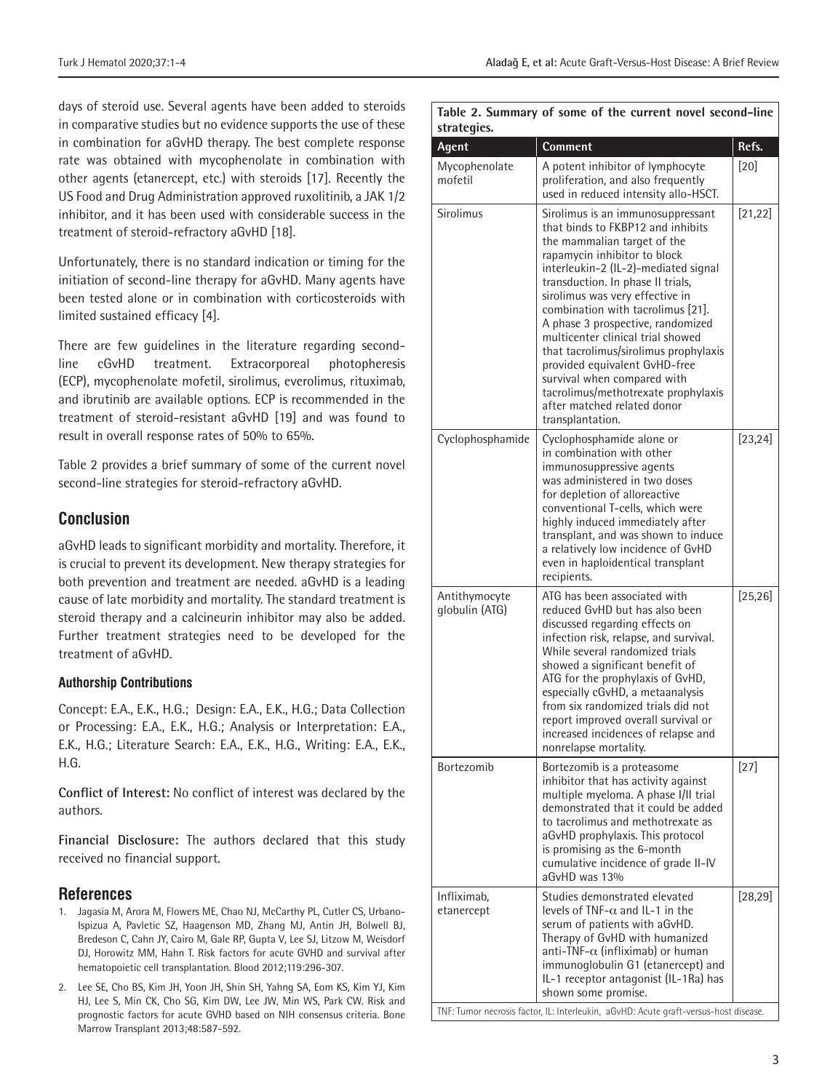days of steroid use. Several agents have been added to steroids in comparative studies but no evidence supports the use of these in combination for aGvHD therapy. The best complete response rate was obtained with mycophenolate in combination with other agents (etanercept, etc.) with steroids [17]. Recently the US Food and Drug Administration approved ruxolitinib, a JAK 1/2 inhibitor, and it has been used with considerable success in the treatment of steroid-refractory aGvHD [18].

Unfortunately, there is no standard indication or timing for the initiation of second-line therapy for aGvHD. Many agents have been tested alone or in combination with corticosteroids with limited sustained efficacy [4].

There are few guidelines in the literature regarding secondline cGvHD treatment. Extracorporeal photopheresis (ECP), mycophenolate mofetil, sirolimus, everolimus, rituximab, and ibrutinib are available options. ECP is recommended in the treatment of steroid-resistant aGvHD [19] and was found to result in overall response rates of 50% to 65%.

Table 2 provides a brief summary of some of the current novel second-line strategies for steroid-refractory aGvHD.

#### **Conclusion**

aGvHD leads to significant morbidity and mortality. Therefore, it is crucial to prevent its development. New therapy strategies for both prevention and treatment are needed. aGvHD is a leading cause of late morbidity and mortality. The standard treatment is steroid therapy and a calcineurin inhibitor may also be added. Further treatment strategies need to be developed for the treatment of aGvHD.

#### **Authorship Contributions**

Concept: E.A., E.K., H.G.; Design: E.A., E.K., H.G.; Data Collection or Processing: E.A., E.K., H.G.; Analysis or Interpretation: E.A., E.K., H.G.; Literature Search: E.A., E.K., H.G., Writing: E.A., E.K., H.G.

**Conflict of Interest:** No conflict of interest was declared by the authors.

**Financial Disclosure:** The authors declared that this study received no financial support.

#### **References**

- 1. Jagasia M, Arora M, Flowers ME, Chao NJ, McCarthy PL, Cutler CS, Urbano-Ispizua A, Pavletic SZ, Haagenson MD, Zhang MJ, Antin JH, Bolwell BJ, Bredeson C, Cahn JY, Cairo M, Gale RP, Gupta V, Lee SJ, Litzow M, Weisdorf DJ, Horowitz MM, Hahn T. Risk factors for acute GVHD and survival after hematopoietic cell transplantation. Blood 2012;119:296-307.
- 2. Lee SE, Cho BS, Kim JH, Yoon JH, Shin SH, Yahng SA, Eom KS, Kim YJ, Kim HJ, Lee S, Min CK, Cho SG, Kim DW, Lee JW, Min WS, Park CW. Risk and prognostic factors for acute GVHD based on NIH consensus criteria. Bone Marrow Transplant 2013;48:587-592.

#### **Table 2. Summary of some of the current novel second-line strategies.**

| Agent                           | <b>Comment</b>                                                                                                                                                                                                                                                                                                                                                                                                                                                                                                                                                          | Refs.    |
|---------------------------------|-------------------------------------------------------------------------------------------------------------------------------------------------------------------------------------------------------------------------------------------------------------------------------------------------------------------------------------------------------------------------------------------------------------------------------------------------------------------------------------------------------------------------------------------------------------------------|----------|
| Mycophenolate<br>mofetil        | A potent inhibitor of lymphocyte<br>proliferation, and also frequently<br>used in reduced intensity allo-HSCT.                                                                                                                                                                                                                                                                                                                                                                                                                                                          | $[20]$   |
| Sirolimus                       | Sirolimus is an immunosuppressant<br>that binds to FKBP12 and inhibits<br>the mammalian target of the<br>rapamycin inhibitor to block<br>interleukin-2 (IL-2)-mediated signal<br>transduction. In phase II trials,<br>sirolimus was very effective in<br>combination with tacrolimus [21].<br>A phase 3 prospective, randomized<br>multicenter clinical trial showed<br>that tacrolimus/sirolimus prophylaxis<br>provided equivalent GvHD-free<br>survival when compared with<br>tacrolimus/methotrexate prophylaxis<br>after matched related donor<br>transplantation. | [21, 22] |
| Cyclophosphamide                | Cyclophosphamide alone or<br>in combination with other<br>immunosuppressive agents<br>was administered in two doses<br>for depletion of alloreactive<br>conventional T-cells, which were<br>highly induced immediately after<br>transplant, and was shown to induce<br>a relatively low incidence of GvHD<br>even in haploidentical transplant<br>recipients.                                                                                                                                                                                                           | [23, 24] |
| Antithymocyte<br>globulin (ATG) | ATG has been associated with<br>reduced GvHD but has also been<br>discussed regarding effects on<br>infection risk, relapse, and survival.<br>While several randomized trials<br>showed a significant benefit of<br>ATG for the prophylaxis of GvHD,<br>especially cGvHD, a metaanalysis<br>from six randomized trials did not<br>report improved overall survival or<br>increased incidences of relapse and<br>nonrelapse mortality.                                                                                                                                   | [25, 26] |
| Bortezomib                      | Bortezomib is a proteasome<br>inhibitor that has activity against<br>multiple myeloma. A phase I/II trial<br>demonstrated that it could be added<br>to tacrolimus and methotrexate as<br>aGvHD prophylaxis. This protocol<br>is promising as the 6-month<br>cumulative incidence of grade II-IV<br>$aGvHD$ was 13%                                                                                                                                                                                                                                                      | $[27]$   |
| Infliximab,<br>etanercept       | Studies demonstrated elevated<br>levels of TNF- $\alpha$ and IL-1 in the<br>serum of patients with aGvHD.<br>Therapy of GvHD with humanized<br>anti-TNF- $\alpha$ (infliximab) or human<br>immunoglobulin G1 (etanercept) and<br>IL-1 receptor antagonist (IL-1Ra) has<br>shown some promise.<br>TNF: Tumor necrosis factor, IL: Interleukin, aGvHD: Acute graft-versus-host disease.                                                                                                                                                                                   | [28, 29] |